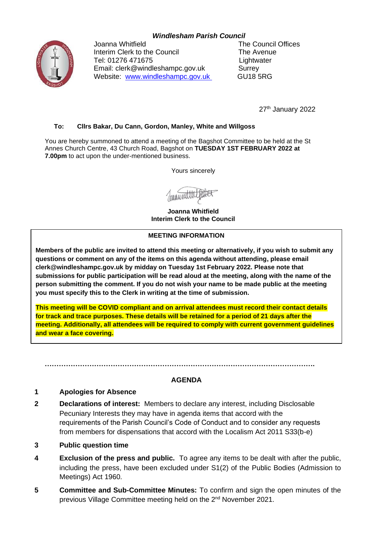# *Windlesham Parish Council*



Joanna Whitfield **The Council Offices** Interim Clerk to the Council The Avenue Tel: 01276 471675 Lightwater Email: clerk@windleshampc.gov.uk Surrey Website: [www.windleshampc.gov.uk](http://www.windleshampc.gov.uk/) GU18 5RG

27<sup>th</sup> January 2022

### **To: Cllrs Bakar, Du Cann, Gordon, Manley, White and Willgoss**

You are hereby summoned to attend a meeting of the Bagshot Committee to be held at the St Annes Church Centre, 43 Church Road, Bagshot on **TUESDAY 1ST FEBRUARY 2022 at 7.00pm** to act upon the under-mentioned business.

Yours sincerely

**Joanna Whitfield Interim Clerk to the Council**

#### **MEETING INFORMATION**

**Members of the public are invited to attend this meeting or alternatively, if you wish to submit any questions or comment on any of the items on this agenda without attending, please email clerk@windleshampc.gov.uk by midday on Tuesday 1st February 2022. Please note that submissions for public participation will be read aloud at the meeting, along with the name of the person submitting the comment. If you do not wish your name to be made public at the meeting you must specify this to the Clerk in writing at the time of submission.**

**This meeting will be COVID compliant and on arrival attendees must record their contact details for track and trace purposes. These details will be retained for a period of 21 days after the meeting. Additionally, all attendees will be required to comply with current government guidelines and wear a face covering.**

#### **AGENDA**

**…………………………………………………………………………………………………….**

#### **1 Apologies for Absence**

- **2 Declarations of interest:** Members to declare any interest, including Disclosable Pecuniary Interests they may have in agenda items that accord with the requirements of the Parish Council's Code of Conduct and to consider any requests from members for dispensations that accord with the Localism Act 2011 S33(b-e)
- **3 Public question time**
- **4 Exclusion of the press and public.** To agree any items to be dealt with after the public, including the press, have been excluded under S1(2) of the Public Bodies (Admission to Meetings) Act 1960.
- **5 Committee and Sub-Committee Minutes:** To confirm and sign the open minutes of the previous Village Committee meeting held on the 2<sup>nd</sup> November 2021.